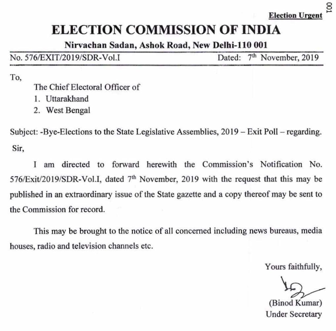# **ELECTION COMMISSION OF INDIA**

Nirvachan Sadan, Ashok Road, New Delhi-110 001

| No. 576/EXIT/2019/SDR-Vol.I | Dated: 7 <sup>th</sup> November, 2019 |  |
|-----------------------------|---------------------------------------|--|
|-----------------------------|---------------------------------------|--|

To,

The Chief Electoral Officer of

- 1. Uttarakhand
- 2. West Bengal

Subject: -Bye-Elections to the State Legislative Assemblies, 2019 — Exit Poll — regarding. Sir,

I am directed to forward herewith the Commission's Notification No. 576/Exit/2019/SDR-Vol.I, dated 7<sup>th</sup> November, 2019 with the request that this may be published in an extraordinary issue of the State gazette and a copy thereof may be sent to the Commission for record.

This may be brought to the notice of all concerned including news bureaus, media houses, radio and television channels etc.

Yours faithfully,

(Binod Kumar) Under Secretary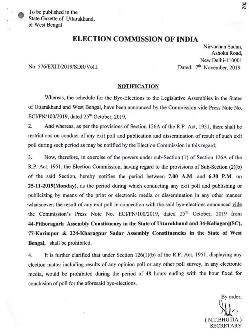e To be published in the State Gazette of Uttarakhand, & West Bengal

## **ELECTION COMMISSION OF INDIA**

Nirvachan Sadan, Ashoka Road, New Delhi- 110001 No. 576/EXIT/2019/SDR/Vol.I Dated: 7<sup>th</sup> November, 2019

### **NOTIFICATION**

Whereas, the schedule for the Bye-Elections to the Legislative Assemblies in the States of Uttarakhand and West Bengal, have been announced by the Commission vide Press Note No. ECI/PN/100/2019, dated 25<sup>th</sup> October, 2019.

2. And whereas, as per the provisions of Section 126A of the R.P. Act, 1951, there shall be restrictions on conduct of any exit poll and publication and dissemination of result of such exit poll during such period as may be notified by the Election Commission in this regard;

3. Now, therefore, in exercise of the powers under sub-Section (1) of Section 126A of the R.P. Act, 1951, the Election Commission, having regard to the provisions of Sub-Section (2)(b) of the said Section, hereby notifies the period between 7.00 A.M. and **6.30 P.M. on 25-11-2019(Monday),** as the period during which conducting any exit poll and publishing or publicizing by means of the print or electronic media or dissemination in any other manner whatsoever, the result of any exit poll in connection with the said bye-elections announced vide the Commission's Press Note No. ECI/PN/100/2019, dated 25<sup>th</sup> October, 2019 from **44-Pithoragarh Assembly Constituency in the State of Uttarakhand and 34-Kaliaganj(SC),**  77**-Karimpur** & **224-Kharagpur Sadar Assembly Constituencies in the State of West Bengal,** shall be prohibited.

4. It is further clarified that under Section 126(1)(b) of the **R.P.** Act, 1951, displaying any election matter including results of any opinion poll or any other poll survey, in any electronic media, would be prohibited during the period of 48 hours ending with the hour fixed for conclusion of poll for the aforesaid bye-elections.

By order, (N.T.BHUTIA) SECRETARY